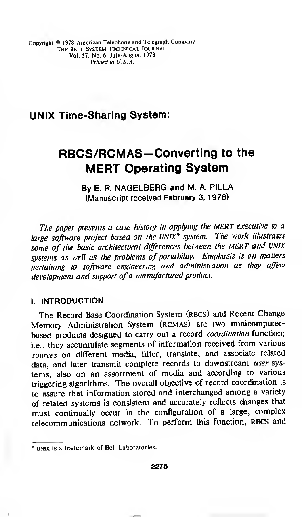## UNIX Time-Sharing System:

# RBCS/RCMAS-Converting to the MERT Operating System

### By E. R. NAGELBERG and M. A. PILLA (Manuscript received February 3, 1978)

The paper presents <sup>a</sup> case history in applying the MERT executive to <sup>a</sup> large software project based on the UNIX\* system. The work illustrates some of the basic architectural differences between the MERT and UNIX systems as well as the problems of portability. Emphasis is on matters pertaining to software engineering and administration as they affect development and support of a manufactured product.

#### I. INTRODUCTION

The Record Base Coordination System (RBCS) and Recent Change Memory Administration System (rcmas) are two minicomputerbased products designed to carry out a record coordination function; i.e., they accumulate segments of information received from various sources on different media, filter, translate, and associate related data, and later transmit complete records to downstream user systems, also on an assortment of media and according to various triggering algorithms. The overall objective of record coordination is to assure that information stored and interchanged among <sup>a</sup> variety of related systems is consistent and accurately reflects changes that must continually occur in the configuration of <sup>a</sup> large, complex telecommunications network. To perform this function, RBCS and

<sup>\*</sup> unix is a trademark of Bell Laboratories.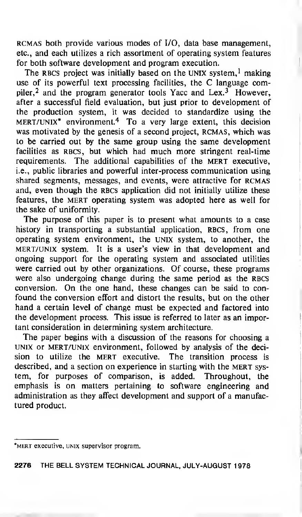rcmas both provide various modes of I/O, data base management, etc., and each utilizes a rich assortment of operating system features for both software development and program execution.

The RBCS project was initially based on the UNIX system,<sup>1</sup> making use of its powerful text processing facilities, the C language compiler,<sup>2</sup> and the program generator tools Yacc and Lex.<sup>3</sup> However, after a successful field evaluation, but just prior to development of the production system, it was decided to standardize using the mert/unix\* environment.<sup>4</sup> To a very large extent, this decision was motivated by the genesis of a second project, RCMAS, which was to be carried out by the same group using the same development facilities as RBCS, but which had much more stringent real-time requirements. The additional capabilities of the MERT executive, i.e., public libraries and powerful inter-process communication using shared segments, messages, and events, were attractive for RCMAS and, even though the RBCS application did not initially utilize these features, the MERT operating system was adopted here as well for the sake of uniformity.

The purpose of this paper is to present what amounts to a case history in transporting a substantial application, RBCS, from one operating system environment, the UNIX system, to another, the mert/unix system. It is a user's view in that development and ongoing support for the operating system and associated utilities were carried out by other organizations. Of course, these programs were also undergoing change during the same period as the RBCS conversion. On the one hand, these changes can be said to confound the conversion effort and distort the results, but on the other hand a certain level of change must be expected and factored into the development process. This issue is referred to later as an important consideration in determining system architecture.

The paper begins with <sup>a</sup> discussion of the reasons for choosing a UNIX or mert/unix environment, followed by analysis of the decision to utilize the MERT executive. The transition process is described, and a section on experience in starting with the MERT system, for purposes of comparison, is added. Throughout, the emphasis is on matters pertaining to software engineering and administration as they affect development and support of a manufactured product.

<sup>\*</sup>MERT executive, UNIX supervisor program.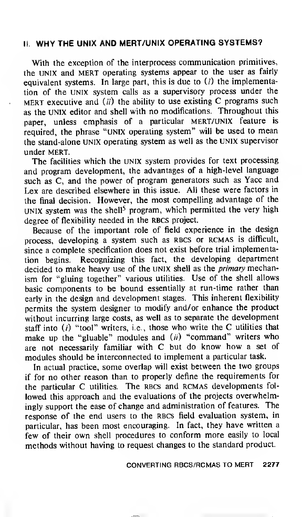#### II. WHY THE UNIX AND MERT/UNIX OPERATING SYSTEMS?

With the exception of the interprocess communication primitives, the UNIX and MERT operating systems appear to the user as fairly equivalent systems. In large part, this is due to  $(i)$  the implementation of the UNIX system calls as a supervisory process under the MERT executive and  $(ii)$  the ability to use existing C programs such as the UNIX editor and shell with no modifications. Throughout this paper, unless emphasis of a particular MERT/UNIX feature is required, the phrase "UNIX operating system" will be used to mean the stand-alone UNIX operating system as well as the UNIX supervisor under MERT.

The facilities which the UNIX system provides for text processing and program development, the advantages of a high-level language such as C, and the power of program generators such as Yacc and Lex are described elsewhere in this issue. All these were factors in the final decision. However, the most compelling advantage of the UNIX system was the shell<sup>5</sup> program, which permitted the very high degree of flexibility needed in the RBCS project.

Because of the important role of field experience in the design process, developing <sup>a</sup> system such as RBCS or RCMAS is difficult, since <sup>a</sup> complete specification does not exist before trial implementation begins. Recognizing this fact, the developing department decided to make heavy use of the UNIX shell as the primary mechanism for "gluing together" various utilities. Use of the shell allows basic components to be bound essentially at run-time rather than early in the design and development stages. This inherent flexibility permits the system designer to modify and/or enhance the product without incurring large costs, as well as to separate the development staff into  $(i)$  "tool" writers, i.e., those who write the C utilities that make up the "gluable" modules and  $(ii)$  "command" writers who are not necessarily familiar with C but do know how <sup>a</sup> set of modules should be interconnected to implement a particular task.

In actual practice, some overlap will exist between the two groups if for no other reason than to properly define the requirements for the particular C utilities. The RBCS and RCMAS developments followed this approach and the evaluations of the projects overwhelmingly support the ease of change and administration of features. The response of the end users to the RBCS field evaluation system, in particular, has been most encouraging. In fact, they have written a few of their own shell procedures to conform more easily to local methods without having to request changes to the standard product.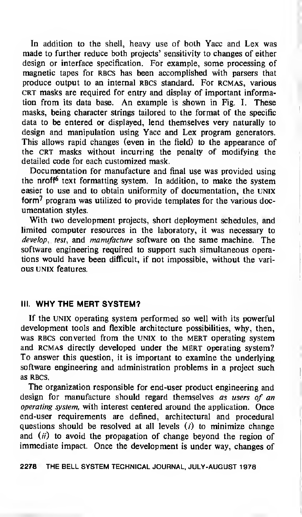In addition to the shell, heavy use of both Yacc and Lex was made to further reduce both projects' sensitivity to changes of either design or interface specification. For example, some processing of magnetic tapes for RBCS has been accomplished with parsers that produce output to an internal RBCS standard. For RCMAS, various CRT masks are required for entry and display of important information from its data base. An example is shown in Fig. 1. These masks, being character strings tailored to the format of the specific data to be entered or displayed, lend themselves very naturally to design and manipulation using Yacc and Lex program generators. This allows rapid changes (even in the field) to the appearance of the CRT masks without incurring the penalty of modifying the detailed code for each customized mask.

Documentation for manufacture and final use was provided using the nrof<sup> $6$ </sup> text formatting system. In addition, to make the system easier to use and to obtain uniformity of documentation, the UNIX form<sup>7</sup> program was utilized to provide templates for the various documentation styles.

With two development projects, short deployment schedules, and limited computer resources in the laboratory, it was necessary to develop, test, and *manufacture* software on the same machine. The software engineering required to support such simultaneous operations would have been difficult, if not impossible, without the various UNIX features.

#### III. WHY THE MERT SYSTEM?

If the UNIX operating system performed so well with its powerful development tools and flexible architecture possibilities, why, then, was RBCS converted from the UNIX to the MERT operating system and RCMAS directly developed under the MERT operating system? To answer this question, it is important to examine the underlying software engineering and administration problems in a project such as RBCS.

The organization responsible for end-user product engineering and design for manufacture should regard themselves as users of an operating system, with interest centered around the application. Once end-user requirements are defined, architectural and procedural questions should be resolved at all levels  $(i)$  to minimize change and  $(ii)$  to avoid the propagation of change beyond the region of immediate impact. Once the development is under way, changes of

2278 THE BELL SYSTEM TECHNICAL JOURNAL, JULY-AUGUST <sup>1</sup> 978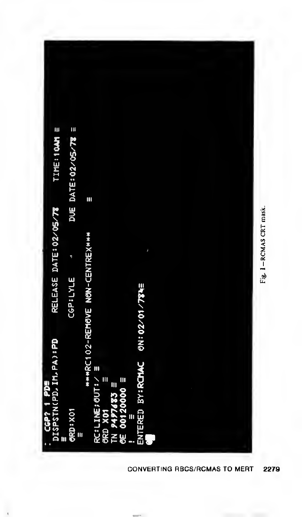

CONVERTING RBCS/RCMAS TO MERT 2279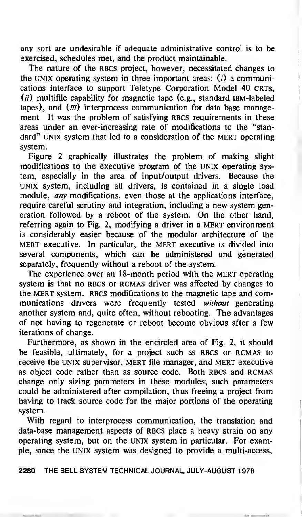any sort are undesirable if adequate administrative control is to be exercised, schedules met, and the product maintainable.

The nature of the RBCS project, however, necessitated changes to the UNIX operating system in three important areas:  $(i)$  a communications interface to support Teletype Corporation Model 40 CRTs,  $(i)$  multifile capability for magnetic tape (e.g., standard IBM-labeled tapes), and  $(iii)$  interprocess communication for data base management. It was the problem of satisfying RBCS requirements in these areas under an ever-increasing rate of modifications to the "standard" UNIX system that led to a consideration of the MERT operating system.

Figure 2 graphically illustrates the problem of making slight modifications to the executive program of the UNIX operating system, especially in the area of input/output drivers. Because the UNIX system, including all drivers, is contained in a single load module, any modifications, even those at the applications interface, require careful scrutiny and integration, including a new system generation followed by <sup>a</sup> reboot of the system. On the other hand, referring again to Fig. 2, modifying a driver in a MERT environment is considerably easier because of the modular architecture of the mert executive. In particular, the mert executive is divided into several components, which can be administered and generated separately, frequently without a reboot of the system.

The experience over an 18-month period with the MERT operating system is that no RBCS or RCMAS driver was affected by changes to the MERT system. RBCS modifications to the magnetic tape and communications drivers were frequently tested without generating another system and, quite often, without rebooting. The advantages of not having to regenerate or reboot become obvious after a few iterations of change.

Furthermore, as shown in the encircled area of Fig. 2, it should be feasible, ultimately, for a project such as RBCS or RCMAS to receive the UNIX supervisor, MERT file manager, and mert executive as object code rather than as source code. Both RBCS and RCMAS change only sizing parameters in these modules; such parameters could be administered after compilation, thus freeing a project from having to track source code for the major portions of the operating system.

With regard to interprocess communication, the translation and data-base management aspects of RBCS place a heavy strain on any operating system, but on the UNIX system in particular. For example, since the UNIX system was designed to provide a multi-access,

2280 THE BELL SYSTEM TECHNICAL JOURNAL, JULY-AUGUST <sup>1</sup> 978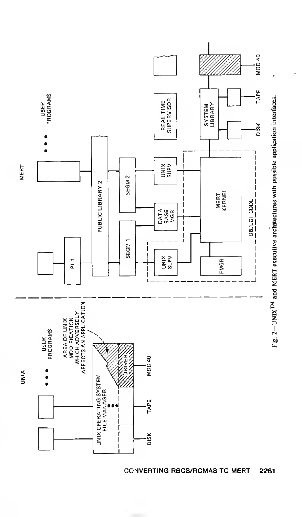

**CONVERTING RBCS/RCMAS TO MERT** 2281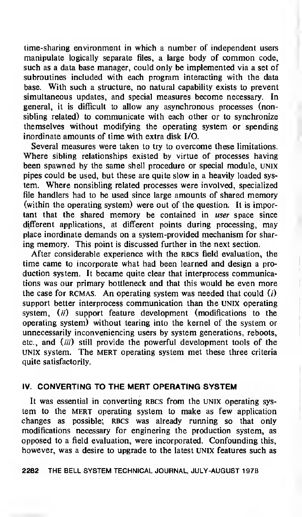time-sharing environment in which <sup>a</sup> number of independent users manipulate logically separate files, <sup>a</sup> large body of common code, such as a data base manager, could only be implemented via a set of subroutines included with each program interacting with the data base. With such a structure, no natural capability exists to prevent simultaneous updates, and special measures become necessary. In general, it is difficult to allow any asynchronous processes (nonsibling related) to communicate with each other or to synchronize themselves without modifying the operating system or spending inordinate amounts of time with extra disk I/O.

Several measures were taken to try to overcome these limitations. Where sibling relationships existed by virtue of processes having been spawned by the same shell procedure or special module, UNIX pipes could be used, but these are quite slow in a heavily loaded system. Where nonsibling related processes were involved, specialized file handlers had to be used since large amounts of shared memory (within the operating system) were out of the question. It is important that the shared memory be contained in user space since different applications, at different points during processing, may place inordinate demands on a system-provided mechanism for sharing memory. This point is discussed further in the next section.

After considerable experience with the RBCS field evaluation, the time came to incorporate what had been learned and design a production system. It became quite clear that interprocess communications was our primary bottleneck and that this would be even more the case for RCMAS. An operating system was needed that could  $(i)$ support better interprocess communication than the UNIX operating system,  $(ii)$  support feature development (modifications to the operating system) without tearing into the kernel of the system or unnecessarily inconveniencing users by system generations, reboots, etc., and (iii) still provide the powerful development tools of the UNIX system. The MERT operating system met these three criteria quite satisfactorily.

#### IV. CONVERTING TO THE MERT OPERATING SYSTEM

It was essential in converting RBCS from the UNIX operating system to the MERT operating system to make as few application changes as possible; RBCS was already running so that only modifications necessary for enginering the production system, as opposed to a field evaluation, were incorporated. Confounding this, however, was a desire to upgrade to the latest UNIX features such as

#### 2282 THE BELL SYSTEM TECHNICAL JOURNAL, JULY-AUGUST <sup>1</sup>978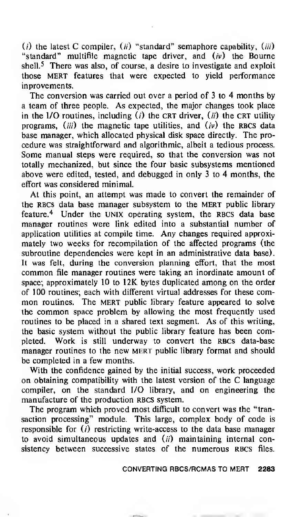( $i$ ) the latest C compiler, ( $ii$ ) "standard" semaphore capability, ( $iii$ ) "standard" multifile magnetic tape driver, and  $(iv)$  the Bourne shell.<sup>5</sup> There was also, of course, a desire to investigate and exploit those MERT features that were expected to yield performance inprovements.

The conversion was carried out over a period of <sup>3</sup> to 4 months by a team of three people. As expected, the major changes took place in the I/O routines, including  $(i)$  the CRT driver,  $(ii)$  the CRT utility programs, (*iii*) the magnetic tape utilities, and  $(v)$  the RBCS data base manager, which allocated physical disk space directly. The procedure was straightforward and algorithmic, albeit a tedious process. Some manual steps were required, so that the conversion was not totally mechanized, but since the four basic subsystems mentioned above were edited, tested, and debugged in only 3 to 4 months, the effort was considered minimal.

At this point, an attempt was made to convert the remainder of the RBCs data base manager subsystem to the MERT public library feature.<sup>4</sup> Under the UNIX operating system, the RBCS data base manager routines were link edited into a substantial number of application utilities at compile time. Any changes required approximately two weeks for recompilation of the affected programs (the subroutine dependencies were kept in an administrative data base). It was felt, during the conversion planning effort, that the most common file manager routines were taking an inordinate amount of space; approximately 10 to 12K bytes duplicated among on the order of 100 routines; each with different virtual addresses for these com mon routines. The MERT public library feature appeared to solve the common space problem by allowing the most frequently used routines to be placed in a shared text segment. As of this writing, the basic system without the public library feature has been completed. Work is still underway to convert the RBCS data-base manager routines to the new MERT public library format and should be completed in a few months.

With the confidence gained by the initial success, work proceeded on obtaining compatibility with the latest version of the C language compiler, on the standard I/O library, and on engineering the manufacture of the production RBCS system.

The program which proved most difficult to convert was the "transaction processing" module. This large, complex body of code is responsible for  $(i)$  restricting write-access to the data base manager to avoid simultaneous updates and  $(ii)$  maintaining internal consistency between successive states of the numerous RBCS files.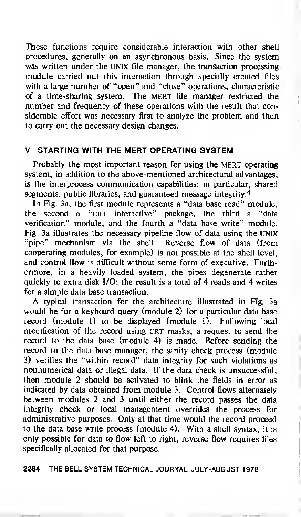These functions require considerable interaction with other shell procedures, generally on an asynchronous basis. Since the system was written under the UNIX file manager, the transaction processing module carried out this interaction through specially created files with <sup>a</sup> large number of "open" and "close" operations, characteristic of a time-sharing system. The MERT file manager restricted the number and frequency of these operations with the result that considerable effort was necessary first to analyze the problem and then to carry out the necessary design changes.

#### V. STARTING WITH THE MERT OPERATING SYSTEM

Probably the most important reason for using the MERT operating system, in addition to the above-mentioned architectural advantages, is the interprocess communication capabilities; in particular, shared segments, public libraries, and guaranteed message integrity.<sup>4</sup>

In Fig. 3a, the first module represents a "data base read" module, the second a "CRT interactive" package, the third a "data verification" module, and the fourth a "data base write" module. Fig. 3a illustrates the necessary pipeline flow of data using the UNIX "pipe" mechanism via the shell. Reverse flow of data (from cooperating modules, for example) is not possible at the shell level, and control flow is difficult without some form of executive. Furthermore, in a heavily loaded system, the pipes degenerate rather quickly to extra disk I/O; the result is a total of 4 reads and 4 writes for a simple data base transaction.

A typical transaction for the architecture illustrated in Fig. 3a would be for a keyboard query (module 2) for a particular data base record (module 1) to be displayed (module 1). Following local modification of the record using CRT masks, a request to send the record to the data base (module 4) is made. Before sending the record to the data base manager, the sanity check process (module 3) verifies the "within record" data integrity for such violations as nonnumerical data or illegal data. If the data check is unsuccessful, then module 2 should be activated to blink the fields in error as indicated by data obtained from module 3. Control flows alternately between modules 2 and 3 until either the record passes the data integrity check or local management overrides the process for administrative purposes. Only at that time would the record proceed to the data base write process (module 4). With a shell syntax, it is only possible for data to flow left to right; reverse flow requires files specifically allocated for that purpose.

2284 THE BELL SYSTEM TECHNICAL JOURNAL, JULY-AUGUST <sup>1</sup>978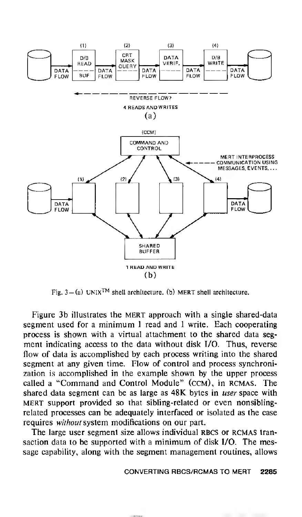

Fig.  $3 - (a)$  UNIX<sup>TM</sup> shell architecture, (b) MERT shell architecture.

Figure 3b illustrates the MERT approach with a single shared-data segment used for <sup>a</sup> minimum <sup>1</sup> read and <sup>1</sup> write. Each cooperating process is shown with a virtual attachment to the shared data segment indicating access to the data without disk I/O. Thus, reverse flow of data is accomplished by each process writing into the shared segment at any given time. Flow of control and process synchronization is accomplished in the example shown by the upper process called <sup>a</sup> "Command and Control Module" (ccm), in rcmas. The shared data segment can be as large as 48K bytes in *user* space with MERT support provided so that sibling-related or even nonsiblingrelated processes can be adequately interfaced or isolated as the case requires without system modifications on our part.

The large user segment size allows individual RBCS or RCMAS transaction data to be supported with <sup>a</sup> minimum of disk I/O. The message capability, along with the segment management routines, allows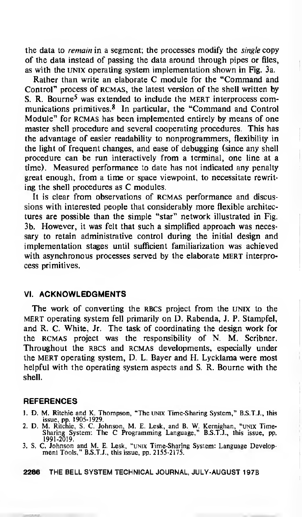the data to *remain* in a segment; the processes modify the *single* copy of the data instead of passing the data around through pipes or files, as with the UNIX operating system implementation shown in Fig. 3a.

Rather than write an elaborate C module for the "Command and Control" process of RCMAS, the latest version of the shell written by S. R. Bourne<sup>5</sup> was extended to include the MERT interprocess communications primitives. <sup>8</sup> In particular, the "Command and Control Module" for RCMAS has been implemented entirely by means of one master shell procedure and several cooperating procedures. This has the advantage of easier readability to nonprogrammers, flexibility in the light of frequent changes, and ease of debugging (since any shell procedure can be run interactively from a terminal, one line at a time). Measured performance to date has not indicated any penalty great enough, from a time or space viewpoint, to necessitate rewriting the shell procedures as C modules.

It is clear from observations of RCMAS performance and discussions with interested people that considerably more flexible architectures are possible than the simple "star" network illustrated in Fig. 3b. However, it was felt that such a simplified approach was necessary to retain administrative control during the initial design and implementation stages until sufficient familiarization was achieved with asynchronous processes served by the elaborate MERT interprocess primitives.

#### VI. ACKNOWLEDGMENTS

The work of converting the RBCS project from the UNIX to the mert operating system fell primarily on D. Rabenda, J. P. Stampfel, and R. C. White, Jr. The task of coordinating the design work for the rcmas project was the responsibility of N. M. Scribner. Throughout the RBCS and RCMAS developments, especially under the MERT operating system, D. L. Bayer and H. Lycklama were most helpful with the operating system aspects and S. R. Bourne with the shell.

#### REFERENCES

- 1. D. M. Ritchie and K. Thompson, "The UNIX Time-Sharing System," B.S.T.J., this issue, pp. 1905-1929.
- 2. D. M. Ritchie, S. C. Johnson, M. E. Lesk, and B. W. Kernighan, "unix Time-Sharing System: The C Programming Language," B.S.T.J. , this issue, pp. 1991-2019.
- 3. S. C. Johnson and M. E. Lesk, "unix Time-Sharing System: Language Develop ment Tools," B.S.T.J., this issue, pp. 2155-2175.

2286 THE BELL SYSTEM TECHNICAL JOURNAL, JULY-AUGUST <sup>1</sup>978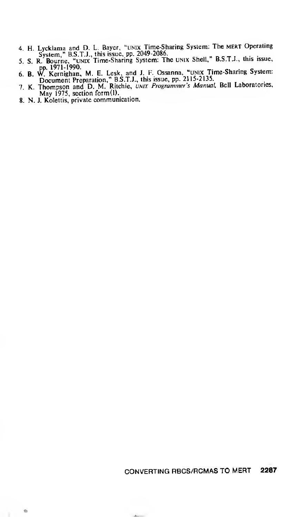- 
- 4. H. Lycklama and D. L. Bayer, "UNIX Time-Sharing System: The MERT Operating System," B.S.T.J., this issue, pp. 2049-2086.<br>
5. S. R. Bourne, "UNIX Time-Sharing System: The UNIX Shell," B.S.T.J., this issue,<br>
9. 1971-1990.
- 
- 
- 8. N. J. Kolettis, private communication.

#### 2287 CONVERTING RBCS/RCMAS TO MERT

 $\bullet$